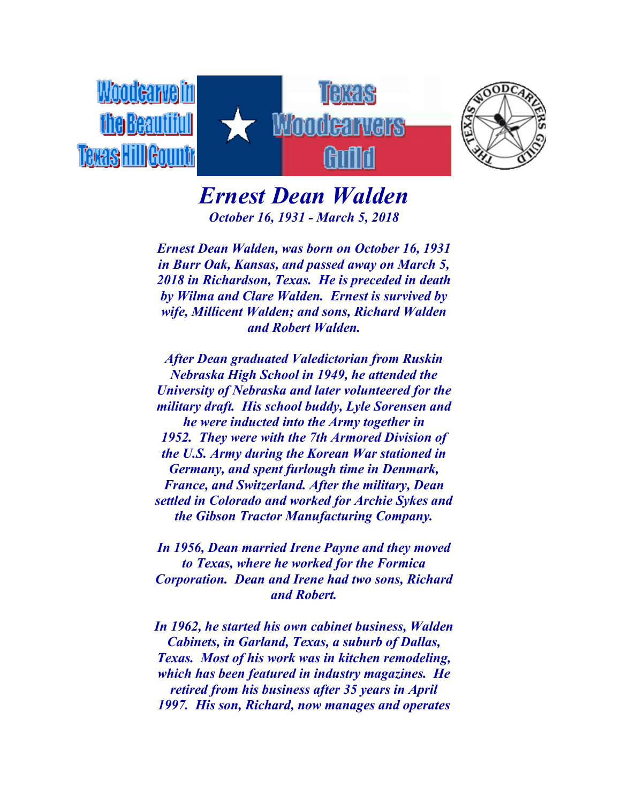

*Ernest Dean Walden October 16, 1931 - March 5, 2018*

*Ernest Dean Walden, was born on October 16, 1931 in Burr Oak, Kansas, and passed away on March 5, 2018 in Richardson, Texas. He is preceded in death by Wilma and Clare Walden. Ernest is survived by wife, Millicent Walden; and sons, Richard Walden and Robert Walden.*

*After Dean graduated Valedictorian from Ruskin Nebraska High School in 1949, he attended the University of Nebraska and later volunteered for the military draft. His school buddy, Lyle Sorensen and he were inducted into the Army together in 1952. They were with the 7th Armored Division of the U.S. Army during the Korean War stationed in Germany, and spent furlough time in Denmark, France, and Switzerland. After the military, Dean settled in Colorado and worked for Archie Sykes and the Gibson Tractor Manufacturing Company.*

*In 1956, Dean married Irene Payne and they moved to Texas, where he worked for the Formica Corporation. Dean and Irene had two sons, Richard and Robert.*

*In 1962, he started his own cabinet business, Walden Cabinets, in Garland, Texas, a suburb of Dallas, Texas. Most of his work was in kitchen remodeling, which has been featured in industry magazines. He retired from his business after 35 years in April 1997. His son, Richard, now manages and operates*